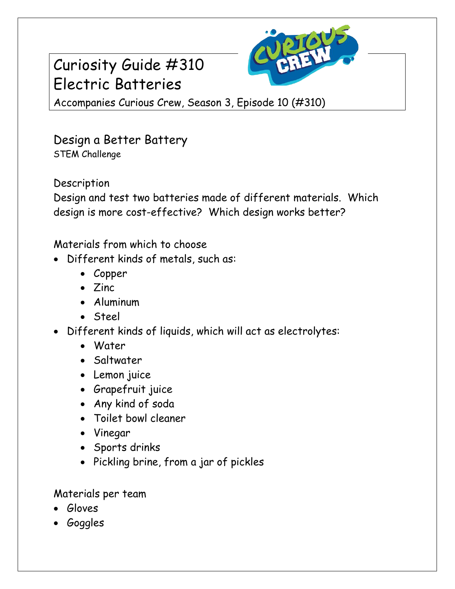## Curiosity Guide #310 Electric Batteries



Accompanies Curious Crew, Season 3, Episode 10 (#310)

Design a Better Battery STEM Challenge

Description

Design and test two batteries made of different materials. Which design is more cost-effective? Which design works better?

Materials from which to choose

- Different kinds of metals, such as:
	- Copper
	- $\bullet$   $\mathsf{Zinc}$
	- Aluminum
	- Steel
- Different kinds of liquids, which will act as electrolytes:
	- Water
	- Saltwater
	- Lemon juice
	- Grapefruit juice
	- Any kind of soda
	- Toilet bowl cleaner
	- Vinegar
	- Sports drinks
	- Pickling brine, from a jar of pickles

Materials per team

- Gloves
- Goggles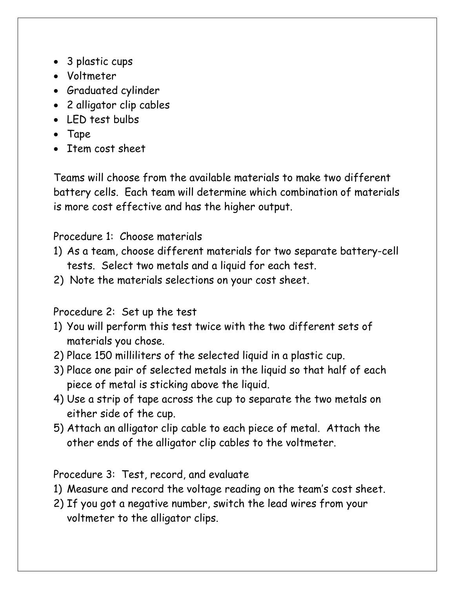- 3 plastic cups
- Voltmeter
- Graduated cylinder
- 2 alligator clip cables
- LED test bulbs
- Tape
- Item cost sheet

Teams will choose from the available materials to make two different battery cells. Each team will determine which combination of materials is more cost effective and has the higher output.

## Procedure 1: Choose materials

- 1) As a team, choose different materials for two separate battery-cell tests. Select two metals and a liquid for each test.
- 2) Note the materials selections on your cost sheet.

Procedure 2: Set up the test

- 1) You will perform this test twice with the two different sets of materials you chose.
- 2) Place 150 milliliters of the selected liquid in a plastic cup.
- 3) Place one pair of selected metals in the liquid so that half of each piece of metal is sticking above the liquid.
- 4) Use a strip of tape across the cup to separate the two metals on either side of the cup.
- 5) Attach an alligator clip cable to each piece of metal. Attach the other ends of the alligator clip cables to the voltmeter.

Procedure 3: Test, record, and evaluate

- 1) Measure and record the voltage reading on the team's cost sheet.
- 2) If you got a negative number, switch the lead wires from your voltmeter to the alligator clips.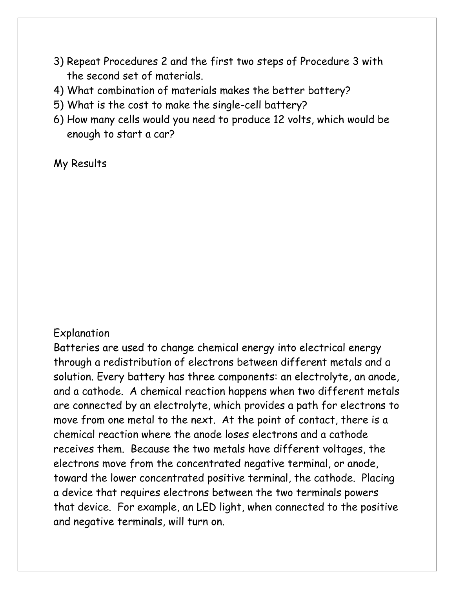- 3) Repeat Procedures 2 and the first two steps of Procedure 3 with the second set of materials.
- 4) What combination of materials makes the better battery?
- 5) What is the cost to make the single-cell battery?
- 6) How many cells would you need to produce 12 volts, which would be enough to start a car?

My Results

## Explanation

Batteries are used to change chemical energy into electrical energy through a redistribution of electrons between different metals and a solution. Every battery has three components: an electrolyte, an anode, and a cathode. A chemical reaction happens when two different metals are connected by an electrolyte, which provides a path for electrons to move from one metal to the next. At the point of contact, there is a chemical reaction where the anode loses electrons and a cathode receives them. Because the two metals have different voltages, the electrons move from the concentrated negative terminal, or anode, toward the lower concentrated positive terminal, the cathode. Placing a device that requires electrons between the two terminals powers that device. For example, an LED light, when connected to the positive and negative terminals, will turn on.